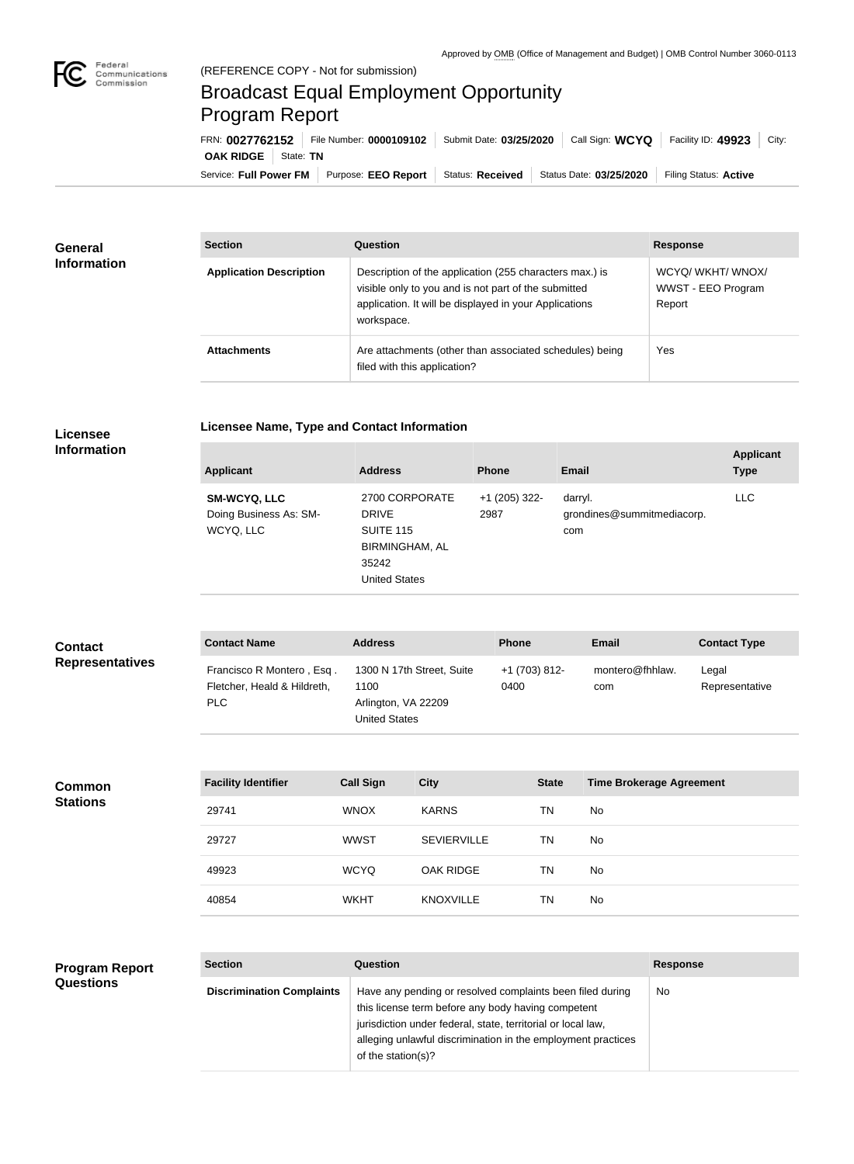## Broadcast Equal Employment Opportunity Program Report

**Licensee Name, Type and Contact Information**

Service: Full Power FM Purpose: EEO Report | Status: Received | Status Date: 03/25/2020 | Filing Status: Active **OAK RIDGE** | State: TN FRN: **0027762152** File Number: **0000109102** Submit Date: **03/25/2020** Call Sign: **WCYQ** Facility ID: **49923** City:

| <b>General</b><br><b>Information</b> | <b>Section</b>                 | <b>Question</b>                                                                                                                                                                         | <b>Response</b>                                 |  |
|--------------------------------------|--------------------------------|-----------------------------------------------------------------------------------------------------------------------------------------------------------------------------------------|-------------------------------------------------|--|
|                                      | <b>Application Description</b> | Description of the application (255 characters max.) is<br>visible only to you and is not part of the submitted<br>application. It will be displayed in your Applications<br>workspace. | WCYQ/WKHT/WNOX/<br>WWST - EEO Program<br>Report |  |
|                                      | <b>Attachments</b>             | Are attachments (other than associated schedules) being<br>filed with this application?                                                                                                 | Yes                                             |  |

## **Licensee Information**

| <b>Applicant</b>                                           | <b>Address</b>                                                                                               | <b>Phone</b>            | <b>Email</b>                                 | <b>Type</b> |
|------------------------------------------------------------|--------------------------------------------------------------------------------------------------------------|-------------------------|----------------------------------------------|-------------|
| <b>SM-WCYQ, LLC</b><br>Doing Business As: SM-<br>WCYQ, LLC | 2700 CORPORATE<br><b>DRIVE</b><br><b>SUITE 115</b><br><b>BIRMINGHAM, AL</b><br>35242<br><b>United States</b> | $+1$ (205) 322-<br>2987 | darryl.<br>grondines@summitmediacorp.<br>com | <b>LLC</b>  |

| <b>Contact</b><br><b>Representatives</b> | <b>Contact Name</b>                                                    | <b>Address</b>   |                                                                          |  |                                         | <b>Email</b>                    | <b>Contact Type</b>     |
|------------------------------------------|------------------------------------------------------------------------|------------------|--------------------------------------------------------------------------|--|-----------------------------------------|---------------------------------|-------------------------|
|                                          | Francisco R Montero, Esq.<br>Fletcher, Heald & Hildreth,<br><b>PLC</b> | 1100             | 1300 N 17th Street, Suite<br>Arlington, VA 22209<br><b>United States</b> |  | +1 (703) 812-<br>montero@fhhlaw.<br>com |                                 | Legal<br>Representative |
|                                          |                                                                        |                  |                                                                          |  |                                         |                                 |                         |
| <b>Common</b><br><b>Stations</b>         | <b>Facility Identifier</b>                                             | <b>Call Sign</b> | <b>City</b>                                                              |  | <b>State</b>                            | <b>Time Brokerage Agreement</b> |                         |
|                                          | 29741                                                                  | <b>WNOX</b>      | <b>KARNS</b>                                                             |  | <b>TN</b>                               | No                              |                         |
|                                          | 29727                                                                  | <b>WWST</b>      | <b>SEVIERVILLE</b>                                                       |  | <b>TN</b>                               | No                              |                         |
|                                          | 49923                                                                  | <b>WCYQ</b>      | <b>OAK RIDGE</b>                                                         |  | <b>TN</b>                               | No                              |                         |
|                                          | 40854                                                                  | <b>WKHT</b>      | <b>KNOXVILLE</b>                                                         |  | <b>TN</b>                               | No                              |                         |
|                                          |                                                                        |                  |                                                                          |  |                                         |                                 |                         |
|                                          |                                                                        |                  |                                                                          |  |                                         |                                 |                         |

| <b>Program Report</b> | <b>Section</b>                   | <b>Question</b>                                                                                                                                                                                                                                                       | <b>Response</b> |  |
|-----------------------|----------------------------------|-----------------------------------------------------------------------------------------------------------------------------------------------------------------------------------------------------------------------------------------------------------------------|-----------------|--|
| <b>Questions</b>      | <b>Discrimination Complaints</b> | Have any pending or resolved complaints been filed during<br>this license term before any body having competent<br>jurisdiction under federal, state, territorial or local law,<br>alleging unlawful discrimination in the employment practices<br>of the station(s)? | No.             |  |
|                       |                                  |                                                                                                                                                                                                                                                                       |                 |  |